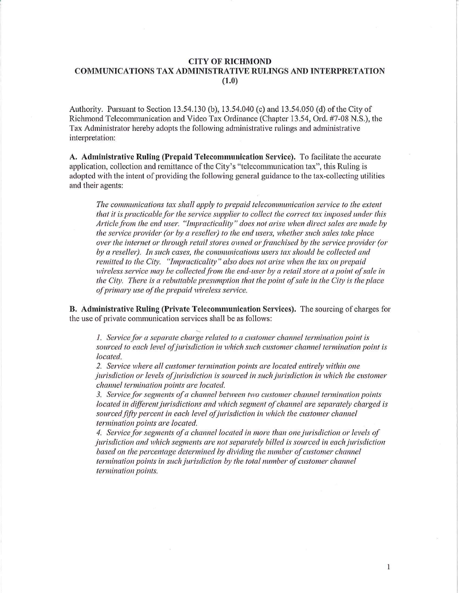## CITY OF RICHMOND COMMUNICATIONS TAX ADMINISTRATIVE RULINGS AND INTERPRETATION (1.0)

Authority. Pursuant to Section 13.54.130 (b), 13.54.040 (c) and 13.54.050 (d) of the City of Richmond Telecommunication and Video Tax Ordinance (Chapter 13.54, Ord. #7-08 N.S.), the Tax Administrator hereby adopts the following administrative rulings and administrative interpretation:

A. Administrative Ruling (Prepaid Telecommunication Service). To facilitate the accurate application, collection and remittance of the City's "telecommunication tax", this Ruling is adopted with the intent of providing the following general guidance to the tax-collecting utilities and their agents:

*The commtmications tax shall apply to prepaid telecommunication sen*1*ice to the extent that it is practicable for the service supplier to collect the correct tax imposed under this Article from the end user. "Impracticality" does not arise when direct sales are made by the service provider (or by a reseller) to the end users, whether such sales take place over the internet or through retail stores owned or franchised by the service provider (or* by a reseller). In such cases, the communications users tax should be collected and *remitted to the City. "Impracticality" also does not arise when the tax on prepaid*  wireless service may be collected from the end-user by a retail store at a point of sale in *the City. There is a rebuttable presumption that the point of sale in the City is the place of primary use of the prepaid wireless service.* 

B. Administrative Ruling (Private Telecommunication Services). The sourcing of charges for the use of private communication services shall be as follows:

.....

*1. Service for a separate charge related to a customer channel termination point is sourced to each level ofjurisdiction in which such customer channel termination point is located.* 

*2. Service where all customer termination points are located entirely within one jurisdiction or levels of jurisdiction is sourced in such jurisdiction in which the customer channel termination points are located.* 

*3. Service for segments of a channel between two customer channel termination points located in different jurisdictions and which segment of channel are separately charged is* sourced fifty percent in each level of jurisdiction in which the customer channel *termination points are located.* 

4. Service for segments of a channel located in more than one jurisdiction or levels of *jurisdiction and which segments are not separately billed is sourced in each jurisdiction based on the percentage determined by dividing the number of customer channel termination points in such jurisdiction by the total number of customer channel termination points.* 

 $\mathbf{1}$